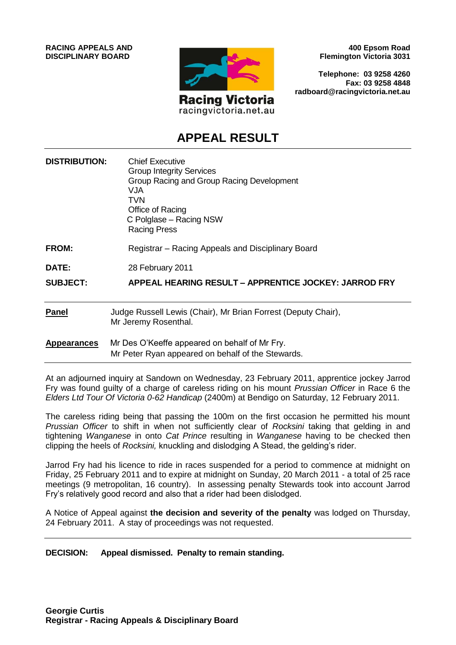**RACING APPEALS AND DISCIPLINARY BOARD**



racingvictoria.net.au

**400 Epsom Road Flemington Victoria 3031**

**Telephone: 03 9258 4260 Fax: 03 9258 4848 radboard@racingvictoria.net.au**

# **APPEAL RESULT**

| <b>DISTRIBUTION:</b> | <b>Chief Executive</b><br><b>Group Integrity Services</b><br>Group Racing and Group Racing Development<br><b>VJA</b><br>TVN<br>Office of Racing<br>C Polglase – Racing NSW<br><b>Racing Press</b> |
|----------------------|---------------------------------------------------------------------------------------------------------------------------------------------------------------------------------------------------|
| <b>FROM:</b>         | Registrar – Racing Appeals and Disciplinary Board                                                                                                                                                 |
| DATE:                | 28 February 2011                                                                                                                                                                                  |
| <b>SUBJECT:</b>      | APPEAL HEARING RESULT - APPRENTICE JOCKEY: JARROD FRY                                                                                                                                             |
| <b>Panel</b>         | Judge Russell Lewis (Chair), Mr Brian Forrest (Deputy Chair),<br>Mr Jeremy Rosenthal.                                                                                                             |
| <b>Appearances</b>   | Mr Des O'Keeffe appeared on behalf of Mr Fry.<br>Mr Peter Ryan appeared on behalf of the Stewards.                                                                                                |

At an adjourned inquiry at Sandown on Wednesday, 23 February 2011, apprentice jockey Jarrod Fry was found guilty of a charge of careless riding on his mount *Prussian Officer* in Race 6 the *Elders Ltd Tour Of Victoria 0-62 Handicap* (2400m) at Bendigo on Saturday, 12 February 2011.

The careless riding being that passing the 100m on the first occasion he permitted his mount *Prussian Officer* to shift in when not sufficiently clear of *Rocksini* taking that gelding in and tightening *Wanganese* in onto *Cat Prince* resulting in *Wanganese* having to be checked then clipping the heels of *Rocksini,* knuckling and dislodging A Stead, the gelding's rider.

Jarrod Fry had his licence to ride in races suspended for a period to commence at midnight on Friday, 25 February 2011 and to expire at midnight on Sunday, 20 March 2011 - a total of 25 race meetings (9 metropolitan, 16 country). In assessing penalty Stewards took into account Jarrod Fry's relatively good record and also that a rider had been dislodged.

A Notice of Appeal against **the decision and severity of the penalty** was lodged on Thursday, 24 February 2011. A stay of proceedings was not requested.

#### **DECISION: Appeal dismissed. Penalty to remain standing.**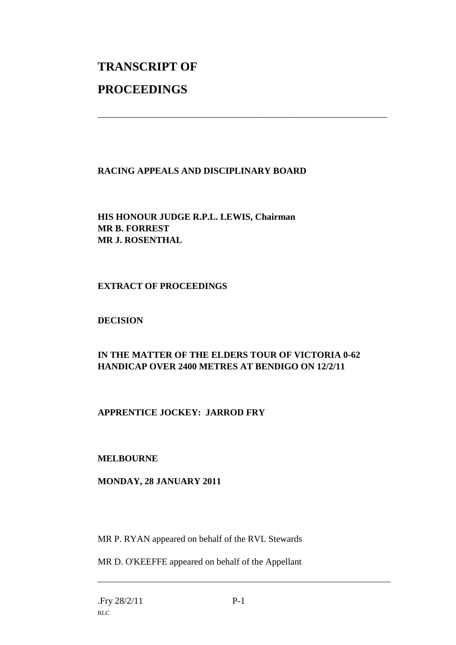# **TRANSCRIPT OF PROCEEDINGS**

# **RACING APPEALS AND DISCIPLINARY BOARD**

\_\_\_\_\_\_\_\_\_\_\_\_\_\_\_\_\_\_\_\_\_\_\_\_\_\_\_\_\_\_\_\_\_\_\_\_\_\_\_\_\_\_\_\_\_\_\_\_\_\_\_\_\_\_\_\_\_\_\_\_\_\_\_

**HIS HONOUR JUDGE R.P.L. LEWIS, Chairman MR B. FORREST MR J. ROSENTHAL**

#### **EXTRACT OF PROCEEDINGS**

#### **DECISION**

# **IN THE MATTER OF THE ELDERS TOUR OF VICTORIA 0-62 HANDICAP OVER 2400 METRES AT BENDIGO ON 12/2/11**

# **APPRENTICE JOCKEY: JARROD FRY**

#### **MELBOURNE**

#### **MONDAY, 28 JANUARY 2011**

MR P. RYAN appeared on behalf of the RVL Stewards

MR D. O'KEEFFE appeared on behalf of the Appellant